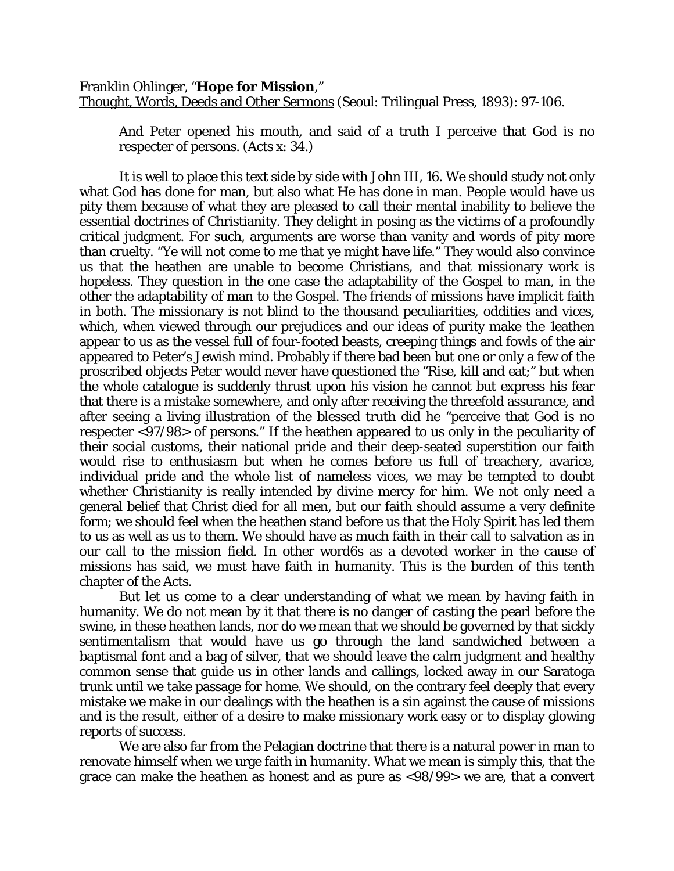## Franklin Ohlinger, "**Hope for Mission**,"

Thought, Words, Deeds and Other Sermons (Seoul: Trilingual Press, 1893): 97-106.

And Peter opened his mouth, and said of a truth I perceive that God is no respecter of persons. (Acts x: 34.)

It is well to place this text side by side with John III, 16. We should study not only what God has done *for* man, but also what He has done *in* man. People would have us pity them because of what they are pleased to call their mental inability to believe the essential doctrines of Christianity. They delight in posing as the victims of a profoundly critical judgment. For such, arguments are worse than vanity and words of pity more than cruelty. "Ye will not come to me that ye might have life." They would also convince us that the heathen are unable to become Christians, and that missionary work is hopeless. They question in the one case the adaptability of the Gospel to man, in the other the adaptability of man to the Gospel. The friends of missions have implicit faith in both. The missionary is not blind to the thousand peculiarities, oddities and vices, which, when viewed through our prejudices and our ideas of purity make the 1eathen appear to us as the vessel full of four-footed beasts, creeping things and fowls of the air appeared to Peter's Jewish mind. Probably if there bad been but one or only a few of the proscribed objects Peter would never have questioned the "Rise, kill and eat;" but when the whole catalogue is suddenly thrust upon his vision he cannot but express his fear that there is a mistake somewhere, and only after receiving the threefold assurance, and after seeing a living illustration of the blessed truth did he "perceive that God is no respecter <97/98> of persons." If the heathen appeared to us only in the peculiarity of their social customs, their national pride and their deep-seated superstition our faith would rise to enthusiasm but when he comes before us full of treachery, avarice, individual pride and the whole list of nameless vices, we may be tempted to doubt whether Christianity is really intended by divine mercy for him. We not only need a general belief that Christ died for all men, but our faith should assume a very definite form; we should feel when the heathen stand before us that the Holy Spirit has led them to us as well as us to them. We should have as much faith in their call to salvation as in our call to the mission field. In other word6s as a devoted worker in the cause of missions has said, we must have faith in humanity. This is the burden of this tenth chapter of the Acts.

But let us come to a clear understanding of what we mean by having faith in humanity. We do not mean by it that there is no danger of casting the pearl before the swine, in these heathen lands, nor do we mean that we should be governed by that sickly sentimentalism that would have us go through the land sandwiched between a baptismal font and a bag of silver, that we should leave the calm judgment and healthy common sense that guide us in other lands and callings, locked away in our Saratoga trunk until we take passage for home. We should, on the contrary feel deeply that every mistake we make in our dealings with the heathen is a sin against the cause of missions and is the result, either of a desire to make missionary work easy or to display glowing reports of success.

We are also far from the Pelagian doctrine that there is a natural power in man to renovate himself when we urge faith in humanity. What we mean is simply this, that the grace can make the heathen as honest and as pure as <98/99> we are, that a convert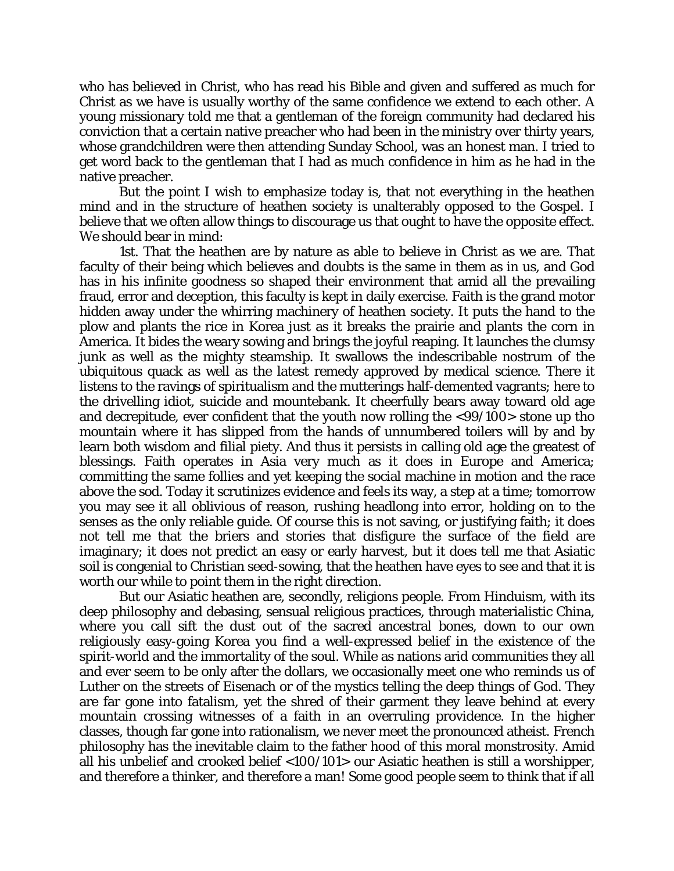who has believed in Christ, who has read his Bible and given and suffered as much for Christ as we have is usually worthy of the same confidence we extend to each other. A young missionary told me that a gentleman of the foreign community had declared his conviction that a certain native preacher who had been in the ministry over thirty years, whose grandchildren were then attending Sunday School, was an honest man. I tried to get word back to the gentleman that I had as much confidence in him as he had in the native preacher.

But the point I wish to emphasize today is, that not everything in the heathen mind and in the structure of heathen society is unalterably opposed to the Gospel. I believe that we often allow things to discourage us that ought to have the opposite effect. We should bear in mind:

1st. That the heathen are by nature as able to believe in Christ as we are. That faculty of their being which believes and doubts is the same in them as in us, and God has in his infinite goodness so shaped their environment that amid all the prevailing fraud, error and deception, this faculty is kept in daily exercise. Faith is the grand motor hidden away under the whirring machinery of heathen society. It puts the hand to the plow and plants the rice in Korea just as it breaks the prairie and plants the corn in America. It bides the weary sowing and brings the joyful reaping. It launches the clumsy junk as well as the mighty steamship. It swallows the indescribable nostrum of the ubiquitous quack as well as the latest remedy approved by medical science. There it listens to the ravings of spiritualism and the mutterings half-demented vagrants; here to the drivelling idiot, suicide and mountebank. It cheerfully bears away toward old age and decrepitude, ever confident that the youth now rolling the <99/100> stone up tho mountain where it has slipped from the hands of unnumbered toilers will by and by learn both wisdom and filial piety. And thus it persists in calling old age the greatest of blessings. Faith operates in Asia very much as it does in Europe and America; committing the same follies and yet keeping the social machine in motion and the race above the sod. Today it scrutinizes evidence and feels its way, a step at a time; tomorrow you may see it all oblivious of reason, rushing headlong into error, holding on to the senses as the only reliable guide. Of course this is not saving, or justifying faith; it does not tell me that the briers and stories that disfigure the surface of the field are imaginary; it does not predict an easy or early harvest, but it does tell me that Asiatic soil is congenial to Christian seed-sowing, that the heathen have eyes to see and that it is worth our while to point them in the right direction.

But our Asiatic heathen are, secondly, religions people. From Hinduism, with its deep philosophy and debasing, sensual religious practices, through materialistic China, where you call sift the dust out of the sacred ancestral bones, down to our own religiously easy-going Korea you find a well-expressed belief in the existence of the spirit-world and the immortality of the soul. While as nations arid communities they all and ever seem to be only after the dollars, we occasionally meet one who reminds us of Luther on the streets of Eisenach or of the mystics telling the deep things of God. They are far gone into fatalism, yet the shred of their garment they leave behind at every mountain crossing witnesses of a faith in an overruling providence. In the higher classes, though far gone into rationalism, we never meet the pronounced atheist. French philosophy has the inevitable claim to the father hood of this moral monstrosity. Amid all his unbelief and crooked belief <100/101> our Asiatic heathen is still a worshipper, and therefore a thinker, and therefore a man! Some good people seem to think that if all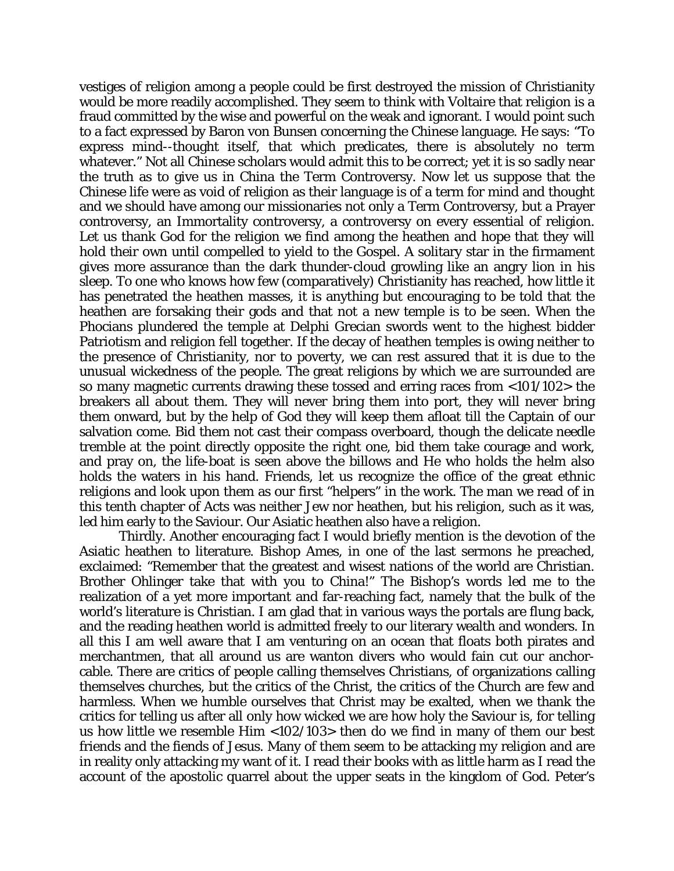vestiges of religion among a people could be first destroyed the mission of Christianity would be more readily accomplished. They seem to think with Voltaire that religion is a fraud committed by the wise and powerful on the weak and ignorant. I would point such to a fact expressed by Baron von Bunsen concerning the Chinese language. He says: "To express mind--thought itself, that which predicates, there is absolutely no term whatever." Not all Chinese scholars would admit this to be correct; yet it is so sadly near the truth as to give us in China the Term Controversy. Now let us suppose that the Chinese life were as void of religion as their language is of a term for mind and thought and we should have among our missionaries not only a Term Controversy, but a Prayer controversy, an Immortality controversy, a controversy on every essential of religion. Let us thank God for the religion we find among the heathen and hope that they will hold their own until compelled to yield to the Gospel. A solitary star in the firmament gives more assurance than the dark thunder-cloud growling like an angry lion in his sleep. To one who knows how few (comparatively) Christianity has reached, how little it has penetrated the heathen masses, it is anything but encouraging to be told that the heathen are forsaking their gods and that not a new temple is to be seen. When the Phocians plundered the temple at Delphi Grecian swords went to the highest bidder Patriotism and religion fell together. If the decay of heathen temples is owing neither to the presence of Christianity, nor to poverty, we can rest assured that it is due to the unusual wickedness of the people. The great religions by which we are surrounded are so many magnetic currents drawing these tossed and erring races from <101/102> the breakers all about them. They will never bring them into port, they will never bring them onward, but by the help of God they will keep them afloat till the Captain of our salvation come. Bid them not cast their compass overboard, though the delicate needle tremble at the point directly opposite the right one, bid them take courage and work, and pray on, the life-boat is seen above the billows and He who holds the helm also holds the waters in his hand. Friends, let us recognize the office of the great ethnic religions and look upon them as our first "helpers" in the work. The man we read of in this tenth chapter of Acts was neither Jew nor heathen, but his religion, such as it was, led him early to the Saviour. Our Asiatic heathen also have a religion.

Thirdly. Another encouraging fact I would briefly mention is the devotion of the Asiatic heathen to literature. Bishop Ames, in one of the last sermons he preached, exclaimed: "Remember that the greatest and wisest nations of the world are Christian. Brother Ohlinger take that with you to China!" The Bishop's words led me to the realization of a yet more important and far-reaching fact, namely that the bulk of the world's literature is Christian. I am glad that in various ways the portals are flung back, and the reading heathen world is admitted freely to our literary wealth and wonders. In all this I am well aware that I am venturing on an ocean that floats both pirates and merchantmen, that all around us are wanton divers who would fain cut our anchorcable. There are critics of people calling themselves Christians, of organizations calling themselves churches, but the critics of the Christ, the critics of the Church are few and harmless. When we humble ourselves that Christ may be exalted, when we thank the critics for telling us after all only how wicked we are how holy the Saviour is, for telling us how little *we* resemble Him <102/103> then do we find in many of them our best friends and the fiends of Jesus. Many of them seem to be attacking my religion and are in reality only attacking my want of it. I read their books with as little harm as I read the account of the apostolic quarrel about the upper seats in the kingdom of God. Peter's